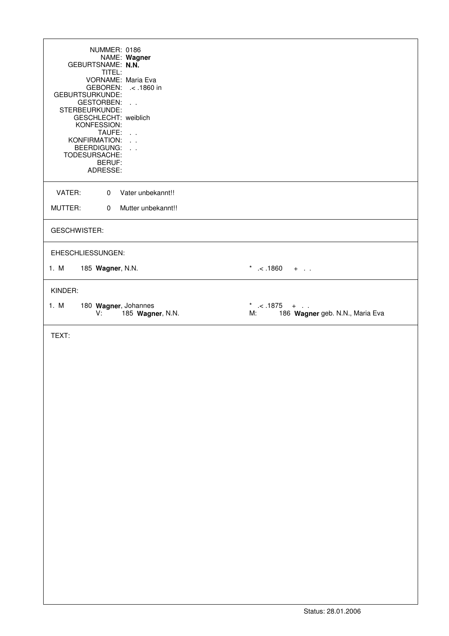| NUMMER: 0186<br>NAME: Wagner<br>GEBURTSNAME: N.N.<br>TITEL:<br>VORNAME: Maria Eva<br><b>GEBOREN:</b><br>.< .1860 in<br>GEBURTSURKUNDE:<br><b>GESTORBEN:</b><br>$\sim 10$ $\mu$<br>STERBEURKUNDE:<br>GESCHLECHT: weiblich<br>KONFESSION:<br>TAUFE:<br>$\sim 10$ $\mu$<br>KONFIRMATION:<br>BEERDIGUNG:<br>TODESURSACHE:<br>BERUF:<br>ADRESSE: |                                                       |
|---------------------------------------------------------------------------------------------------------------------------------------------------------------------------------------------------------------------------------------------------------------------------------------------------------------------------------------------|-------------------------------------------------------|
| Vater unbekannt!!<br>VATER:<br>$\mathbf{0}$                                                                                                                                                                                                                                                                                                 |                                                       |
| MUTTER:<br>Mutter unbekannt!!<br>$\Omega$                                                                                                                                                                                                                                                                                                   |                                                       |
| <b>GESCHWISTER:</b>                                                                                                                                                                                                                                                                                                                         |                                                       |
| EHESCHLIESSUNGEN:                                                                                                                                                                                                                                                                                                                           |                                                       |
| 1. M<br>185 Wagner, N.N.                                                                                                                                                                                                                                                                                                                    | * .< .1860 +                                          |
| KINDER:                                                                                                                                                                                                                                                                                                                                     |                                                       |
| 1. M<br>180 Wagner, Johannes<br>185 Wagner, N.N.<br>V:                                                                                                                                                                                                                                                                                      | * .< .1875 +<br>186 Wagner geb. N.N., Maria Eva<br>М: |
| TEXT:                                                                                                                                                                                                                                                                                                                                       |                                                       |
|                                                                                                                                                                                                                                                                                                                                             |                                                       |
|                                                                                                                                                                                                                                                                                                                                             |                                                       |